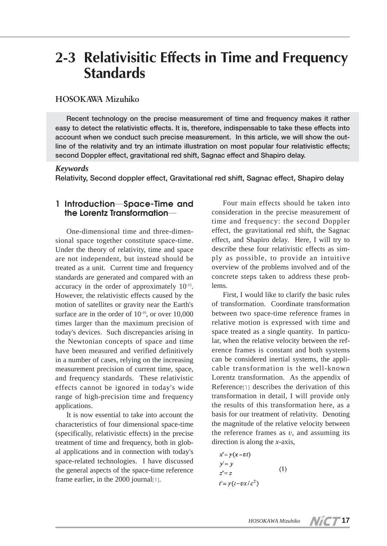# **2-3 Relativisitic Effects in Time and Frequency Standards**

#### **HOSOKAWA Mizuhiko**

**Recent technology on the precise measurement of time and frequency makes it rather easy to detect the relativistic effects. It is, therefore, indispensable to take these effects into account when we conduct such precise measurement. In this article, we will show the outline of the relativity and try an intimate illustration on most popular four relativistic effects; second Doppler effect, gravitational red shift, Sagnac effect and Shapiro delay.**

#### *Keywords*

**Relativity, Second doppler effect, Gravitational red shift, Sagnac effect, Shapiro delay**

### **1 Introduction**―**Space-Time and the Lorentz Transformation**―

One-dimensional time and three-dimensional space together constitute space-time. Under the theory of relativity, time and space are not independent, but instead should be treated as a unit. Current time and frequency standards are generated and compared with an accuracy in the order of approximately 10-15. However, the relativistic effects caused by the motion of satellites or gravity near the Earth's surface are in the order of  $10^{-10}$ , or over  $10,000$ times larger than the maximum precision of today's devices. Such discrepancies arising in the Newtonian concepts of space and time have been measured and verified definitively in a number of cases, relying on the increasing measurement precision of current time, space, and frequency standards. These relativistic effects cannot be ignored in today's wide range of high-precision time and frequency applications.

It is now essential to take into account the characteristics of four dimensional space-time (specifically, relativistic effects) in the precise treatment of time and frequency, both in global applications and in connection with today's space-related technologies. I have discussed the general aspects of the space-time reference frame earlier, in the 2000 journal[1].

Four main effects should be taken into consideration in the precise measurement of time and frequency: the second Doppler effect, the gravitational red shift, the Sagnac effect, and Shapiro delay. Here, I will try to describe these four relativistic effects as simply as possible, to provide an intuitive overview of the problems involved and of the concrete steps taken to address these problems.

First, I would like to clarify the basic rules of transformation. Coordinate transformation between two space-time reference frames in relative motion is expressed with time and space treated as a single quantity. In particular, when the relative velocity between the reference frames is constant and both systems can be considered inertial systems, the applicable transformation is the well-known Lorentz transformation. As the appendix of Reference[1] describes the derivation of this transformation in detail, I will provide only the results of this transformation here, as a basis for our treatment of relativity. Denoting the magnitude of the relative velocity between the reference frames as *v*, and assuming its direction is along the *x*-axis,

$$
x'= \gamma(x-vt)
$$
  
\n
$$
y'= y
$$
  
\n
$$
z'= z
$$
  
\n
$$
t' = \gamma(t-vx/c2)
$$
\n(1)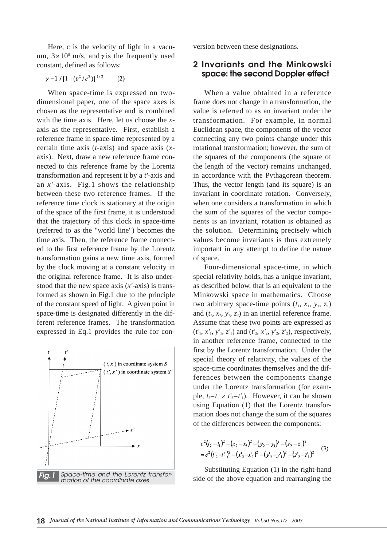Here, *c* is the velocity of light in a vacuum, 3×108 m/s, and**γ**is the frequently used constant, defined as follows:

 $\gamma = 1 / [1 - (v^2 / c^2)]^{1/2}$  $(2)$ 

When space-time is expressed on twodimensional paper, one of the space axes is chosen as the representative and is combined with the time axis. Here, let us choose the *x*axis as the representative. First, establish a reference frame in space-time represented by a certain time axis (*t*-axis) and space axis (*x*axis). Next, draw a new reference frame connected to this reference frame by the Lorentz transformation and represent it by a *t'*-axis and an *x'*-axis. Fig.1 shows the relationship between these two reference frames. If the reference time clock is stationary at the origin of the space of the first frame, it is understood that the trajectory of this clock in space-time (referred to as the "world line") becomes the time axis. Then, the reference frame connected to the first reference frame by the Lorentz transformation gains a new time axis, formed by the clock moving at a constant velocity in the original reference frame. It is also understood that the new space axis (*x'*-axis) is transformed as shown in Fig.1 due to the principle of the constant speed of light. A given point in space-time is designated differently in the different reference frames. The transformation expressed in Eq.1 provides the rule for con-



version between these designations.

#### **2 Invariants and the Minkowski space: the second Doppler effect**

When a value obtained in a reference frame does not change in a transformation, the value is referred to as an invariant under the transformation. For example, in normal Euclidean space, the components of the vector connecting any two points change under this rotational transformation; however, the sum of the squares of the components (the square of the length of the vector) remains unchanged, in accordance with the Pythagorean theorem. Thus, the vector length (and its square) is an invariant in coordinate rotation. Conversely, when one considers a transformation in which the sum of the squares of the vector components is an invariant, rotation is obtained as the solution. Determining precisely which values become invariants is thus extremely important in any attempt to define the nature of space.

Four-dimensional space-time, in which special relativity holds, has a unique invariant, as described below, that is an equivalent to the Minkowski space in mathematics. Choose two arbitrary space-time points  $(t_1, x_1, y_1, z_1)$ and  $(t_2, x_2, y_2, z_2)$  in an inertial reference frame. Assume that these two points are expressed as  $(t'_1, x'_1, y'_1, z'_1)$  and  $(t'_2, x'_2, y'_2, z'_2)$ , respectively, in another reference frame, connected to the first by the Lorentz transformation. Under the special theory of relativity, the values of the space-time coordinates themselves and the differences between the components change under the Lorentz transformation (for example,  $t_2-t_1 \neq t'_2-t'_1$ ). However, it can be shown using Equation (1) that the Lorentz transformation does not change the sum of the squares of the differences between the components:

$$
c^{2}(t_{2}-t_{1})^{2}-(x_{2}-x_{1})^{2}-(y_{2}-y_{1})^{2}-(z_{2}-z_{1})^{2}
$$
  
=
$$
c^{2}(t_{2}-t_{1})^{2}-(x_{2}-x_{1})^{2}-(y_{2}-y_{1})^{2}-(z_{2}-z_{1})^{2}
$$
 (3)

Substituting Equation (1) in the right-hand side of the above equation and rearranging the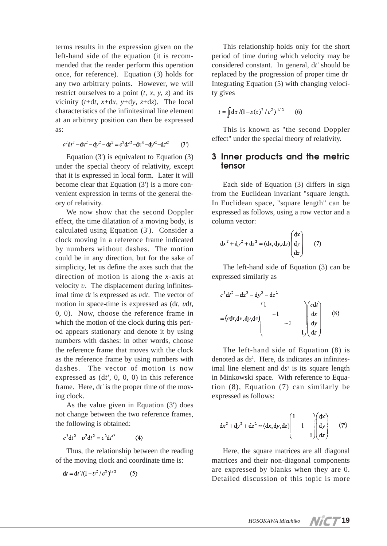terms results in the expression given on the left-hand side of the equation (it is recommended that the reader perform this operation once, for reference). Equation (3) holds for any two arbitrary points. However, we will restrict ourselves to a point  $(t, x, y, z)$  and its vicinity ( $t+dt$ ,  $x+dx$ ,  $y+dy$ ,  $z+dz$ ). The local characteristics of the infinitesimal line element at an arbitrary position can then be expressed as:

 $c^2 dt^2 - dx^2 - dy^2 - dz^2 = c^2 dt^2 - dx^2 - dy^2 - dz^2$  $(3<sup>n</sup>)$ 

Equation (3') is equivalent to Equation (3) under the special theory of relativity, except that it is expressed in local form. Later it will become clear that Equation (3') is a more convenient expression in terms of the general theory of relativity.

We now show that the second Doppler effect, the time dilatation of a moving body, is calculated using Equation (3'). Consider a clock moving in a reference frame indicated by numbers without dashes. The motion could be in any direction, but for the sake of simplicity, let us define the axes such that the direction of motion is along the *x*-axis at velocity *v*. The displacement during infinitesimal time d*t* is expressed as *v*d*t*. The vector of motion in space-time is expressed as (d*t*, *v*d*t*, 0, 0). Now, choose the reference frame in which the motion of the clock during this period appears stationary and denote it by using numbers with dashes: in other words, choose the reference frame that moves with the clock as the reference frame by using numbers with dashes. The vector of motion is now expressed as (d*t'*, 0, 0, 0) in this reference frame. Here, d*t'* is the proper time of the moving clock.

As the value given in Equation (3') does not change between the two reference frames, the following is obtained:

 $c^2 dt^2 - r^2 dt^2 = c^2 dt^2$  $(4)$ 

Thus, the relationship between the reading of the moving clock and coordinate time is:

$$
dt = dt' / (1 - v^2 / c^2)^{1/2}
$$
 (5)

This relationship holds only for the short period of time during which velocity may be considered constant. In general, d*t'* should be replaced by the progression of proper time  $d\tau$ Integrating Equation (5) with changing velocity gives

$$
t = \int d\tau / (1 - v(\tau)^2 / c^2)^{1/2} \qquad (6)
$$

This is known as "the second Doppler effect" under the special theory of relativity.

#### **3 Inner products and the metric tensor**

Each side of Equation (3) differs in sign from the Euclidean invariant "square length. In Euclidean space, "square length" can be expressed as follows, using a row vector and a column vector:

$$
dx2 + dy2 + dz2 = (dx, dy, dz) \begin{pmatrix} dx \ dy \ dz \end{pmatrix}
$$
 (7)

The left-hand side of Equation (3) can be expressed similarly as

$$
c^{2}dt^{2} - dx^{2} - dy^{2} - dz^{2}
$$
  
=  $(cdt, dx, dy, dz)$ 
$$
\begin{pmatrix} 1 & & & \\ & -1 & & \\ & & -1 & \\ & & & -1 \end{pmatrix} \begin{pmatrix} cdt \\ dx \\ dy \\ dz \end{pmatrix}
$$
 (8)

The left-hand side of Equation (8) is denoted as d*s*<sup>2</sup> . Here, d*s* indicates an infinitesimal line element and  $ds^2$  is its square length in Minkowski space. With reference to Equation (8), Equation (7) can similarly be expressed as follows:

$$
dx2 + dy2 + dz2 = (dx, dy, dz) \begin{pmatrix} 1 & 1 & 0 \\ 1 & 1 & 0 \\ 0 & 1 & 1 \end{pmatrix} \begin{pmatrix} dx \\ dy \\ dz \end{pmatrix}
$$
 (7)

Here, the square matrices are all diagonal matrices and their non-diagonal components are expressed by blanks when they are 0. Detailed discussion of this topic is more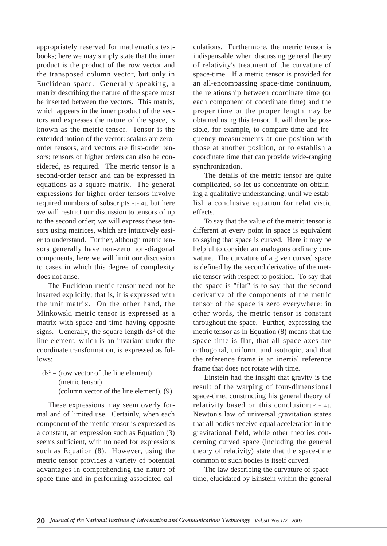appropriately reserved for mathematics textbooks; here we may simply state that the inner product is the product of the row vector and the transposed column vector, but only in Euclidean space. Generally speaking, a matrix describing the nature of the space must be inserted between the vectors. This matrix, which appears in the inner product of the vectors and expresses the nature of the space, is known as the metric tensor. Tensor is the extended notion of the vector: scalars are zeroorder tensors, and vectors are first-order tensors; tensors of higher orders can also be considered, as required. The metric tensor is a second-order tensor and can be expressed in equations as a square matrix. The general expressions for higher-order tensors involve required numbers of subscripts[2]-[4], but here we will restrict our discussion to tensors of up to the second order; we will express these tensors using matrices, which are intuitively easier to understand. Further, although metric tensors generally have non-zero non-diagonal components, here we will limit our discussion to cases in which this degree of complexity does not arise.

The Euclidean metric tensor need not be inserted explicitly; that is, it is expressed with the unit matrix. On the other hand, the Minkowski metric tensor is expressed as a matrix with space and time having opposite signs. Generally, the square length  $ds<sup>2</sup>$  of the line element, which is an invariant under the coordinate transformation, is expressed as follows:

 $ds^2 =$  (row vector of the line element) (metric tensor) (column vector of the line element). (9)

These expressions may seem overly formal and of limited use. Certainly, when each component of the metric tensor is expressed as a constant, an expression such as Equation (3) seems sufficient, with no need for expressions such as Equation (8). However, using the metric tensor provides a variety of potential advantages in comprehending the nature of space-time and in performing associated calculations. Furthermore, the metric tensor is indispensable when discussing general theory of relativity's treatment of the curvature of space-time. If a metric tensor is provided for an all-encompassing space-time continuum, the relationship between coordinate time (or each component of coordinate time) and the proper time or the proper length may be obtained using this tensor. It will then be possible, for example, to compare time and frequency measurements at one position with those at another position, or to establish a coordinate time that can provide wide-ranging synchronization.

The details of the metric tensor are quite complicated, so let us concentrate on obtaining a qualitative understanding, until we establish a conclusive equation for relativistic effects.

To say that the value of the metric tensor is different at every point in space is equivalent to saying that space is curved. Here it may be helpful to consider an analogous ordinary curvature. The curvature of a given curved space is defined by the second derivative of the metric tensor with respect to position. To say that the space is "flat" is to say that the second derivative of the components of the metric tensor of the space is zero everywhere: in other words, the metric tensor is constant throughout the space. Further, expressing the metric tensor as in Equation (8) means that the space-time is flat, that all space axes are orthogonal, uniform, and isotropic, and that the reference frame is an inertial reference frame that does not rotate with time.

Einstein had the insight that gravity is the result of the warping of four-dimensional space-time, constructing his general theory of relativity based on this conclusion[2]-[4]. Newton's law of universal gravitation states that all bodies receive equal acceleration in the gravitational field, while other theories concerning curved space (including the general theory of relativity) state that the space-time common to such bodies is itself curved.

The law describing the curvature of spacetime, elucidated by Einstein within the general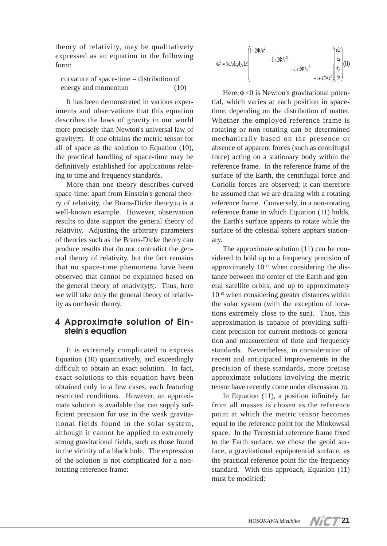theory of relativity, may be qualitatively expressed as an equation in the following form:

curvature of space-time = distribution of energy and momentum (10)

It has been demonstrated in various experiments and observations that this equation describes the laws of gravity in our world more precisely than Newton's universal law of gravity[5]. If one obtains the metric tensor for all of space as the solution to Equation (10), the practical handling of space-time may be definitively established for applications relating to time and frequency standards.

More than one theory describes curved space-time: apart from Einstein's general theory of relativity, the Brans-Dicke theory[5] is a well-known example. However, observation results to date support the general theory of relativity. Adjusting the arbitrary parameters of theories such as the Brans-Dicke theory can produce results that do not contradict the general theory of relativity, but the fact remains that no space-time phenomena have been observed that cannot be explained based on the general theory of relativity[5]. Thus, here we will take only the general theory of relativity as our basic theory.

### **4 Approximate solution of Einstein's equation**

It is extremely complicated to express Equation (10) quantitatively, and exceedingly difficult to obtain an exact solution. In fact, exact solutions to this equation have been obtained only in a few cases, each featuring restricted conditions. However, an approximate solution is available that can supply sufficient precision for use in the weak gravitational fields found in the solar system, although it cannot be applied to extremely strong gravitational fields, such as those found in the vicinity of a black hole. The expression of the solution is not complicated for a nonrotating reference frame:

$$
ds^{2} = (cdt, dx, dy, dz) \begin{pmatrix} 1 + 2\Phi/c^{2} & & & \text{if } cdt \\ 1 + 2\Phi/c^{2} & & & \text{if } cdt \\ & & -1 + 2\Phi/c^{2} & & \text{if } d\mathbf{y} \\ & & & -1 + 2\Phi/c^{2} & d\mathbf{z} \end{pmatrix} (11)
$$

Here,Φ<0 is Newton's gravitational potential, which varies at each position in spacetime, depending on the distribution of matter. Whether the employed reference frame is rotating or non-rotating can be determined mechanically based on the presence or absence of apparent forces (such as centrifugal force) acting on a stationary body within the reference frame. In the reference frame of the surface of the Earth, the centrifugal force and Coriolis forces are observed; it can therefore be assumed that we are dealing with a rotating reference frame. Conversely, in a non-rotating reference frame in which Equation (11) holds, the Earth's surface appears to rotate while the surface of the celestial sphere appears stationary.

The approximate solution (11) can be considered to hold up to a frequency precision of approximately  $10^{-17}$  when considering the distance between the center of the Earth and general satellite orbits, and up to approximately 10-15 when considering greater distances within the solar system (with the exception of locations extremely close to the sun). Thus, this approximation is capable of providing sufficient precision for current methods of generation and measurement of time and frequency standards. Nevertheless, in consideration of recent and anticipated improvements in the precision of these standards, more precise approximate solutions involving the metric tensor have recently come under discussion [6].

In Equation (11), a position infinitely far from all masses is chosen as the reference point at which the metric tensor becomes equal to the reference point for the Minkowski space. In the Terrestrial reference frame fixed to the Earth surface, we chose the geoid surface, a gravitational equipotential surface, as the practical reference point for the frequency standard. With this approach, Equation (11) must be modified: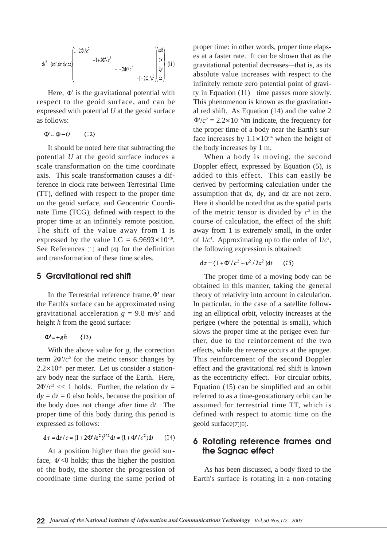$$
ds^{2} = (cdt, dx, dy, dz) \begin{pmatrix} 1+2\Phi^{t}/c^{2} & & & \Delta t \\ 1+2\Phi^{t}/c^{2} & & & \Delta t \\ & -1+2\Phi^{t}/c^{2} & & \Delta t \\ & & -1+2\Phi^{t}/c^{2} & & \Delta t \end{pmatrix} \begin{pmatrix} cdt \\ dx \\ dy \\ dy \end{pmatrix} (11')
$$

Here, Φ' is the gravitational potential with respect to the geoid surface, and can be expressed with potential *U* at the geoid surface as follows:

$$
\Phi' = \Phi - U \qquad (12)
$$

It should be noted here that subtracting the potential *U* at the geoid surface induces a scale transformation on the time coordinate axis. This scale transformation causes a difference in clock rate between Terrestrial Time (TT), defined with respect to the proper time on the geoid surface, and Geocentric Coordinate Time (TCG), defined with respect to the proper time at an infinitely remote position. The shift of the value away from 1 is expressed by the value  $LG = 6.9693 \times 10^{-10}$ . See References [1] and [4] for the definition and transformation of these time scales.

#### **5 Gravitational red shift**

In the Terrestrial reference frame,Φ' near the Earth's surface can be approximated using gravitational acceleration  $g = 9.8$  m/s<sup>2</sup> and height *h* from the geoid surface:

 $\Phi$ '=+gh  $(13)$ 

With the above value for *g*, the correction term  $2\Phi'/c^2$  for the metric tensor changes by  $2.2 \times 10^{-16}$  per meter. Let us consider a stationary body near the surface of the Earth. Here,  $2\Phi'/c^2 \ll 1$  holds. Further, the relation dx =  $dy = dz = 0$  also holds, because the position of the body does not change after time d*t*. The proper time of this body during this period is expressed as follows:

$$
d\tau = ds/c = (1 + 2\Phi'/c^2)^{1/2} dt \approx (1 + \Phi'/c^2) dt \qquad (14)
$$

At a position higher than the geoid surface, Φ'<0 holds; thus the higher the position of the body, the shorter the progression of coordinate time during the same period of proper time: in other words, proper time elapses at a faster rate. It can be shown that as the gravitational potential decreases―that is, as its absolute value increases with respect to the infinitely remote zero potential point of gravity in Equation (11)―time passes more slowly. This phenomenon is known as the gravitational red shift. As Equation (14) and the value 2  $\Phi'/c^2 = 2.2 \times 10^{-16}$ /m indicate, the frequency for the proper time of a body near the Earth's surface increases by  $1.1 \times 10^{-16}$  when the height of the body increases by 1 m.

When a body is moving, the second Doppler effect, expressed by Equation (5), is added to this effect. This can easily be derived by performing calculation under the assumption that d*x*, d*y*, and d*z* are not zero. Here it should be noted that as the spatial parts of the metric tensor is divided by  $c^2$  in the course of calculation, the effect of the shift away from 1 is extremely small, in the order of  $1/c<sup>4</sup>$ . Approximating up to the order of  $1/c<sup>2</sup>$ , the following expression is obtained:

 $d\tau = (1 + \Phi'/c^2 - v^2/2c^2)dt$  $(15)$ 

The proper time of a moving body can be obtained in this manner, taking the general theory of relativity into account in calculation. In particular, in the case of a satellite following an elliptical orbit, velocity increases at the perigee (where the potential is small), which slows the proper time at the perigee even further, due to the reinforcement of the two effects, while the reverse occurs at the apogee. This reinforcement of the second Doppler effect and the gravitational red shift is known as the eccentricity effect. For circular orbits, Equation (15) can be simplified and an orbit referred to as a time-geostationary orbit can be assumed for terrestrial time TT, which is defined with respect to atomic time on the geoid surface[7][8].

#### **6 Rotating reference frames and the Sagnac effect**

As has been discussed, a body fixed to the Earth's surface is rotating in a non-rotating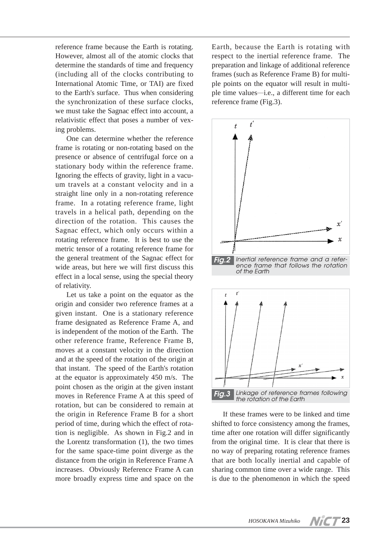reference frame because the Earth is rotating. However, almost all of the atomic clocks that determine the standards of time and frequency (including all of the clocks contributing to International Atomic Time, or TAI) are fixed to the Earth's surface. Thus when considering the synchronization of these surface clocks, we must take the Sagnac effect into account, a relativistic effect that poses a number of vexing problems.

One can determine whether the reference frame is rotating or non-rotating based on the presence or absence of centrifugal force on a stationary body within the reference frame. Ignoring the effects of gravity, light in a vacuum travels at a constant velocity and in a straight line only in a non-rotating reference frame. In a rotating reference frame, light travels in a helical path, depending on the direction of the rotation. This causes the Sagnac effect, which only occurs within a rotating reference frame. It is best to use the metric tensor of a rotating reference frame for the general treatment of the Sagnac effect for wide areas, but here we will first discuss this effect in a local sense, using the special theory of relativity.

Let us take a point on the equator as the origin and consider two reference frames at a given instant. One is a stationary reference frame designated as Reference Frame A, and is independent of the motion of the Earth. The other reference frame, Reference Frame B, moves at a constant velocity in the direction and at the speed of the rotation of the origin at that instant. The speed of the Earth's rotation at the equator is approximately 450 m/s. The point chosen as the origin at the given instant moves in Reference Frame A at this speed of rotation, but can be considered to remain at the origin in Reference Frame B for a short period of time, during which the effect of rotation is negligible. As shown in Fig.2 and in the Lorentz transformation (1), the two times for the same space-time point diverge as the distance from the origin in Reference Frame A increases. Obviously Reference Frame A can more broadly express time and space on the Earth, because the Earth is rotating with respect to the inertial reference frame. The preparation and linkage of additional reference frames (such as Reference Frame B) for multiple points on the equator will result in multiple time values―i.e., a different time for each reference frame (Fig.3).



If these frames were to be linked and time shifted to force consistency among the frames, time after one rotation will differ significantly from the original time. It is clear that there is no way of preparing rotating reference frames that are both locally inertial and capable of sharing common time over a wide range. This is due to the phenomenon in which the speed

**23**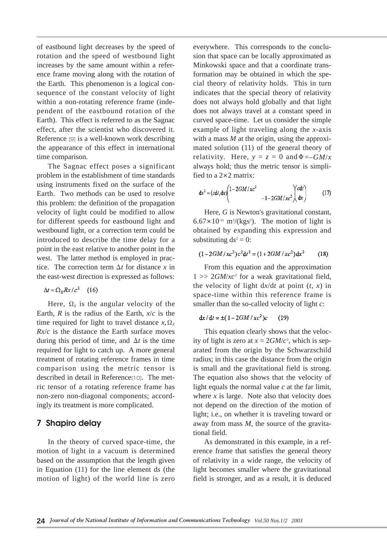of eastbound light decreases by the speed of rotation and the speed of westbound light increases by the same amount within a reference frame moving along with the rotation of the Earth. This phenomenon is a logical consequence of the constant velocity of light within a non-rotating reference frame (independent of the eastbound rotation of the Earth). This effect is referred to as the Sagnac effect, after the scientist who discovered it. Reference [9] is a well-known work describing the appearance of this effect in international time comparison.

The Sagnac effect poses a significant problem in the establishment of time standards using instruments fixed on the surface of the Earth. Two methods can be used to resolve this problem: the definition of the propagation velocity of light could be modified to allow for different speeds for eastbound light and westbound light, or a correction term could be introduced to describe the time delay for a point in the east relative to another point in the west. The latter method is employed in practice. The correction term  $\Delta t$  for distance *x* in the east-west direction is expressed as follows:

$$
\Delta t = \Omega_E R x / c^2 \quad (16)
$$

Here,  $\Omega_E$  is the angular velocity of the Earth,  $R$  is the radius of the Earth,  $x/c$  is the time required for light to travel distance  $x, \Omega$ <sub>E</sub> *Rx*/*c* is the distance the Earth surface moves during this period of time, and  $\Delta t$  is the time required for light to catch up. A more general treatment of rotating reference frames in time comparison using the metric tensor is described in detail in Reference[10]. The metric tensor of a rotating reference frame has non-zero non-diagonal components; accordingly its treatment is more complicated.

#### **7 Shapiro delay**

In the theory of curved space-time, the motion of light in a vacuum is determined based on the assumption that the length given in Equation (11) for the line element d*s* (the motion of light) of the world line is zero everywhere. This corresponds to the conclusion that space can be locally approximated as Minkowski space and that a coordinate transformation may be obtained in which the special theory of relativity holds. This in turn indicates that the special theory of relativity does not always hold globally and that light does not always travel at a constant speed in curved space-time. Let us consider the simple example of light traveling along the *x*-axis with a mass *M* at the origin, using the approximated solution (11) of the general theory of relativity. Here,  $y = z = 0$  and  $\Phi = -GM/x$ always hold; thus the metric tensor is simplified to a 2×2 matrix:

$$
ds^{2} = (cdt, dx) \begin{pmatrix} 1 - 2GM/xc^{2} & -1 - 2GM/xc^{2} & dz \end{pmatrix}
$$
 (17)

Here, *G* is Newton's gravitational constant,  $6.67 \times 10^{-11}$  m<sup>3</sup>/(kgs<sup>2</sup>). The motion of light is obtained by expanding this expression and substituting  $ds^2 = 0$ :

$$
(1 - 2GM/xc2)c2dt2 = (1 + 2GM/xc2)dx2
$$
 (18)

From this equation and the approximation 1 >> 2*GM*/*xc*<sup>2</sup> for a weak gravitational field, the velocity of light  $dx/dt$  at point  $(t, x)$  in space-time within this reference frame is smaller than the so-called velocity of light *c*:

 $dx/dt = \pm (1 - 2GM/xc^2)c$  $(19)$ 

This equation clearly shows that the velocity of light is zero at  $x = 2GM/c^2$ , which is separated from the origin by the Schwarzschild radius; in this case the distance from the origin is small and the gravitational field is strong. The equation also shows that the velocity of light equals the normal value *c* at the far limit, where  $x$  is large. Note also that velocity does not depend on the direction of the motion of light; i.e., on whether it is traveling toward or away from mass *M*, the source of the gravitational field.

As demonstrated in this example, in a reference frame that satisfies the general theory of relativity in a wide range, the velocity of light becomes smaller where the gravitational field is stronger, and as a result, it is deduced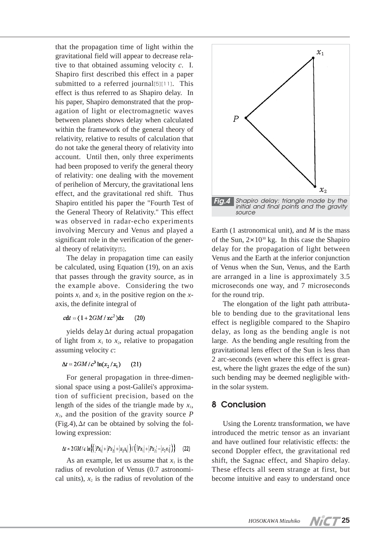that the propagation time of light within the gravitational field will appear to decrease relative to that obtained assuming velocity *c*. I. Shapiro first described this effect in a paper submitted to a referred journal[5][11]. This effect is thus referred to as Shapiro delay. In his paper, Shapiro demonstrated that the propagation of light or electromagnetic waves between planets shows delay when calculated within the framework of the general theory of relativity, relative to results of calculation that do not take the general theory of relativity into account. Until then, only three experiments had been proposed to verify the general theory of relativity: one dealing with the movement of perihelion of Mercury, the gravitational lens effect, and the gravitational red shift. Thus Shapiro entitled his paper the "Fourth Test of the General Theory of Relativity." This effect was observed in radar-echo experiments involving Mercury and Venus and played a significant role in the verification of the general theory of relativity[5].

The delay in propagation time can easily be calculated, using Equation (19), on an axis that passes through the gravity source, as in the example above. Considering the two points  $x_1$  and  $x_2$  in the positive region on the  $x$ axis, the definite integral of

#### $cdt = (1 + 2GM/xc^2)dx$  $(20)$

yields delayΔ*t* during actual propagation of light from  $x_1$  to  $x_2$ , relative to propagation assuming velocity *c*:

#### $\Delta t = 2GM/c^3 \ln(x_2/x_1)$  $(21)$

For general propagation in three-dimensional space using a post-Galilei's approximation of sufficient precision, based on the length of the sides of the triangle made by  $x_1$ ,  $x_2$ , and the position of the gravity source *P* (Fig.4),Δ*t* can be obtained by solving the following expression:

$$
\Delta t = 2GM/c \ln\left\{ \left( \left|Px_1\right| + \left|Px_2\right| + \left|x_2x_1\right| \right) / \left( \left|Px_1\right| + \left|Px_2\right| - \left|x_2x_1\right| \right) \right\} \tag{22}
$$

As an example, let us assume that  $x_1$  is the radius of revolution of Venus (0.7 astronomical units),  $x_2$  is the radius of revolution of the



Earth (1 astronomical unit), and *M* is the mass of the Sun,  $2 \times 10^{30}$  kg. In this case the Shapiro delay for the propagation of light between Venus and the Earth at the inferior conjunction of Venus when the Sun, Venus, and the Earth are arranged in a line is approximately 3.5 microseconds one way, and 7 microseconds for the round trip.

The elongation of the light path attributable to bending due to the gravitational lens effect is negligible compared to the Shapiro delay, as long as the bending angle is not large. As the bending angle resulting from the gravitational lens effect of the Sun is less than 2 arc-seconds (even where this effect is greatest, where the light grazes the edge of the sun) such bending may be deemed negligible within the solar system.

## **8 Conclusion**

Using the Lorentz transformation, we have introduced the metric tensor as an invariant and have outlined four relativistic effects: the second Doppler effect, the gravitational red shift, the Sagnac effect, and Shapiro delay. These effects all seem strange at first, but become intuitive and easy to understand once

**25**